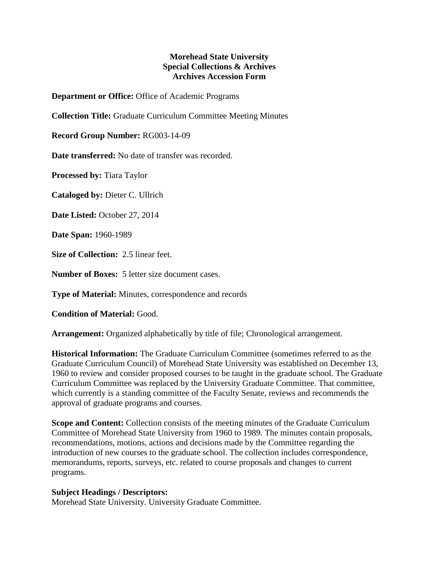## **Morehead State University Special Collections & Archives Archives Accession Form**

**Department or Office:** Office of Academic Programs

**Collection Title:** Graduate Curriculum Committee Meeting Minutes

**Record Group Number:** RG003-14-09

**Date transferred:** No date of transfer was recorded.

**Processed by:** Tiara Taylor

**Cataloged by:** Dieter C. Ullrich

**Date Listed:** October 27, 2014

**Date Span:** 1960-1989

**Size of Collection:** 2.5 linear feet.

**Number of Boxes:** 5 letter size document cases.

**Type of Material:** Minutes, correspondence and records

**Condition of Material:** Good.

**Arrangement:** Organized alphabetically by title of file; Chronological arrangement.

**Historical Information:** The Graduate Curriculum Committee (sometimes referred to as the Graduate Curriculum Council) of Morehead State University was established on December 13, 1960 to review and consider proposed courses to be taught in the graduate school. The Graduate Curriculum Committee was replaced by the University Graduate Committee. That committee, which currently is a standing committee of the Faculty Senate, reviews and recommends the approval of graduate programs and courses.

**Scope and Content:** Collection consists of the meeting minutes of the Graduate Curriculum Committee of Morehead State University from 1960 to 1989. The minutes contain proposals, recommendations, motions, actions and decisions made by the Committee regarding the introduction of new courses to the graduate school. The collection includes correspondence, memorandums, reports, surveys, etc. related to course proposals and changes to current programs.

## **Subject Headings / Descriptors:**

Morehead State University. University Graduate Committee.